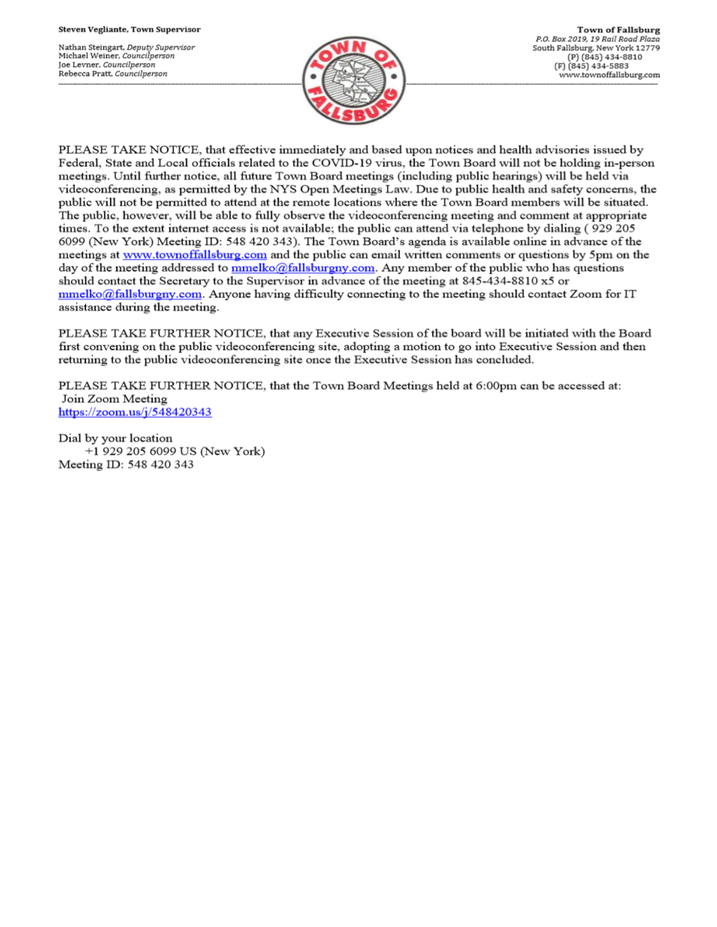Nathan Steingart, Deputy Supervisor Michael Weiner, Councilperson Joe Levner, Councilperson Rebecca Pratt, Councilperson



PLEASE TAKE NOTICE, that effective immediately and based upon notices and health advisories issued by Federal, State and Local officials related to the COVID-19 virus, the Town Board will not be holding in-person meetings. Until further notice, all future Town Board meetings (including public hearings) will be held via videoconferencing, as permitted by the NYS Open Meetings Law. Due to public health and safety concerns, the public will not be permitted to attend at the remote locations where the Town Board members will be situated. The public, however, will be able to fully observe the videoconferencing meeting and comment at appropriate times. To the extent internet access is not available; the public can attend via telephone by dialing (929 205 6099 (New York) Meeting ID: 548 420 343). The Town Board's agenda is available online in advance of the meetings at www.townoffallsburg.com and the public can email written comments or questions by 5pm on the day of the meeting addressed to  $\frac{mmelko@fallsburgny.com}{mclubluygny.com}$ . Any member of the public who has questions should contact the Secretary to the Supervisor in advance of the meeting at 845-434-8810 x5 or  $mmelko@fallsburgny.com$ . Anyone having difficulty connecting to the meeting should contact Zoom for IT assistance during the meeting.

PLEASE TAKE FURTHER NOTICE, that any Executive Session of the board will be initiated with the Board first convening on the public videoconferencing site, adopting a motion to go into Executive Session and then returning to the public videoconferencing site once the Executive Session has concluded.

PLEASE TAKE FURTHER NOTICE, that the Town Board Meetings held at 6:00pm can be accessed at: Join Zoom Meeting https://zoom.us/j/548420343

Dial by your location +1 929 205 6099 US (New York) Meeting ID: 548 420 343